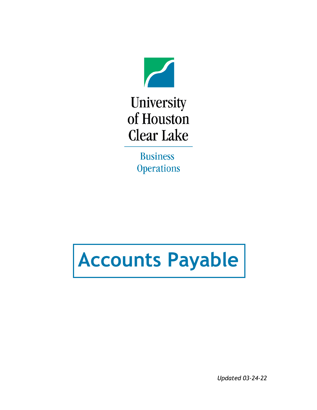

University of Houston **Clear Lake** 

> **Business Operations**

# **Accounts Payable**

*Updated 03-24-22*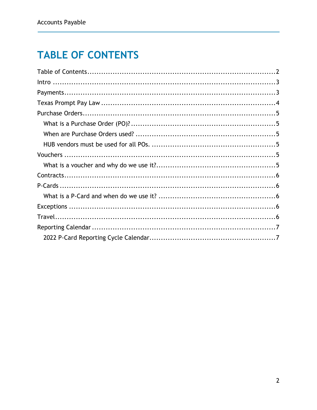## <span id="page-1-0"></span>**TABLE OF CONTENTS**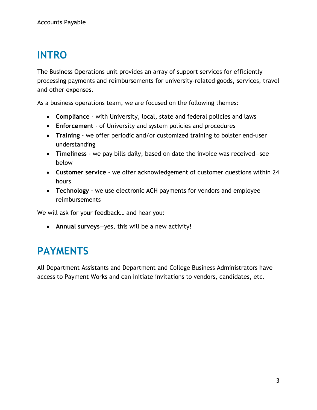## <span id="page-2-0"></span>**INTRO**

The Business Operations unit provides an array of support services for efficiently processing payments and reimbursements for university-related goods, services, travel and other expenses.

As a business operations team, we are focused on the following themes:

- **Compliance** with University, local, state and federal policies and laws
- **Enforcement** of University and system policies and procedures
- **Training**  we offer periodic and/or customized training to bolster end-user understanding
- **Timeliness**  we pay bills daily, based on date the invoice was received―see below
- **Customer service** we offer acknowledgement of customer questions within 24 hours
- **Technology** we use electronic ACH payments for vendors and employee reimbursements

We will ask for your feedback… and hear you:

• **Annual surveys**—yes, this will be a new activity!

#### <span id="page-2-1"></span>**PAYMENTS**

<span id="page-2-2"></span>All Department Assistants and Department and College Business Administrators have access to Payment Works and can initiate invitations to vendors, candidates, etc.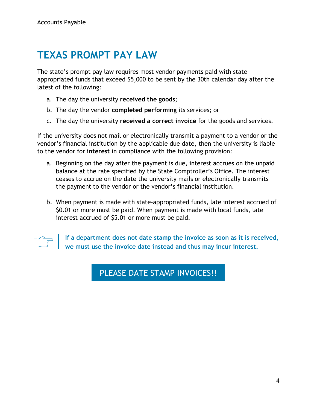### **TEXAS PROMPT PAY LAW**

The state's prompt pay law requires most vendor payments paid with state appropriated funds that exceed \$5,000 to be sent by the 30th calendar day after the latest of the following:

- a. The day the university **received the goods**;
- b. The day the vendor **completed performing** its services; or
- c. The day the university **received a correct invoice** for the goods and services.

If the university does not mail or electronically transmit a payment to a vendor or the vendor's financial institution by the applicable due date, then the university is liable to the vendor for **interest** in compliance with the following provision:

- a. Beginning on the day after the payment is due, interest accrues on the unpaid balance at the rate specified by the State Comptroller's Office. The interest ceases to accrue on the date the university mails or electronically transmits the payment to the vendor or the vendor's financial institution.
- b. When payment is made with state-appropriated funds, late interest accrued of \$0.01 or more must be paid. When payment is made with local funds, late interest accrued of \$5.01 or more must be paid.



**If a department does not date stamp the invoice as soon as it is received, we must use the invoice date instead and thus may incur interest.** 

#### PLEASE DATE STAMP INVOICES!!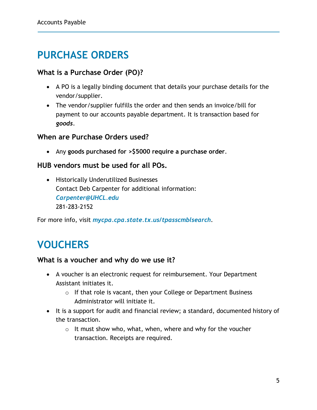### <span id="page-4-0"></span>**PURCHASE ORDERS**

#### <span id="page-4-1"></span>**What is a Purchase Order (PO)?**

- A PO is a legally binding document that details your purchase details for the vendor/supplier.
- The vendor/supplier fulfills the order and then sends an invoice/bill for payment to our accounts payable department. It is transaction based for *goods*.

#### <span id="page-4-2"></span>**When are Purchase Orders used?**

• Any **goods purchased for >\$5000 require a purchase order**.

#### <span id="page-4-3"></span>**HUB vendors must be used for all POs.**

• Historically Underutilized Businesses Contact Deb Carpenter for additional information: *[Carpenter@UHCL.edu](mailto:Carpenter@UHCL.edu)* 281-283-2152

For more info, visit *[mycpa.cpa.state.tx.us/tpasscmblsearch](https://mycpa.cpa.state.tx.us/tpasscmblsearch/)*.

### <span id="page-4-4"></span>**VOUCHERS**

#### <span id="page-4-5"></span>**What is a voucher and why do we use it?**

- A voucher is an electronic request for reimbursement. Your Department Assistant initiates it.
	- $\circ$  If that role is vacant, then your College or Department Business Administrator will initiate it.
- It is a support for audit and financial review; a standard, documented history of the transaction.
	- $\circ$  It must show who, what, when, where and why for the voucher transaction. Receipts are required.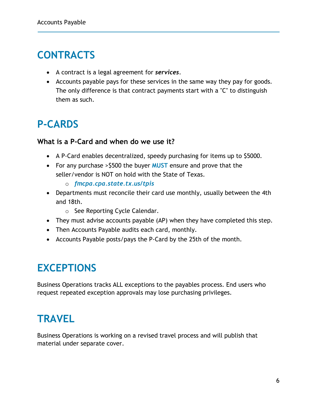### <span id="page-5-0"></span>**CONTRACTS**

- A contract is a legal agreement for *services*.
- Accounts payable pays for these services in the same way they pay for goods. The only difference is that contract payments start with a "C" to distinguish them as such.

### <span id="page-5-1"></span>**P-CARDS**

#### <span id="page-5-2"></span>**What is a P-Card and when do we use it?**

- A P-Card enables decentralized, speedy purchasing for items up to \$5000.
- For any purchase >\$500 the buyer **MUST** ensure and prove that the seller/vendor is NOT on hold with the State of Texas.
	- o *[fmcpa.cpa.state.tx.us/tpis](https://fmcpa.cpa.state.tx.us/tpis/)*
- Departments must reconcile their card use monthly, usually between the 4th and 18th.
	- o See Reporting Cycle Calendar.
- They must advise accounts payable (AP) when they have completed this step.
- Then Accounts Payable audits each card, monthly.
- Accounts Payable posts/pays the P-Card by the 25th of the month.

### <span id="page-5-3"></span>**EXCEPTIONS**

Business Operations tracks ALL exceptions to the payables process. End users who request repeated exception approvals may lose purchasing privileges.

### <span id="page-5-4"></span>**TRAVEL**

Business Operations is working on a revised travel process and will publish that material under separate cover.